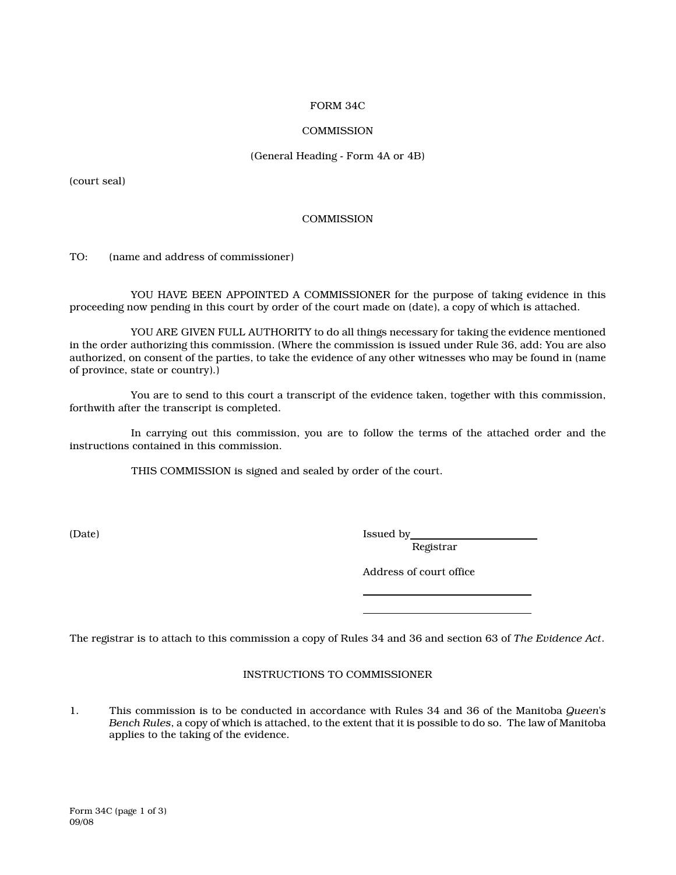### FORM 34C

## **COMMISSION**

## (General Heading - Form 4A or 4B)

(court seal)

### **COMMISSION**

TO: (name and address of commissioner)

YOU HAVE BEEN APPOINTED A COMMISSIONER for the purpose of taking evidence in this proceeding now pending in this court by order of the court made on (date), a copy of which is attached.

YOU ARE GIVEN FULL AUTHORITY to do all things necessary for taking the evidence mentioned in the order authorizing this commission. (Where the commission is issued under Rule 36, add: You are also authorized, on consent of the parties, to take the evidence of any other witnesses who may be found in (name of province, state or country).)

You are to send to this court a transcript of the evidence taken, together with this commission, forthwith after the transcript is completed.

In carrying out this commission, you are to follow the terms of the attached order and the instructions contained in this commission.

THIS COMMISSION is signed and sealed by order of the court.

(Date) Issued by Issued by Issued by Issued by Issued by Issued by Issued by Issued by Issued by Issued by Issued by Issued by Issued by Issued by Issued by Issued by Issued by Issued by Issued by Issued by Issued by Issue

 $\overline{a}$ 

Registrar

Address of court office

The registrar is to attach to this commission a copy of Rules 34 and 36 and section 63 of The Evidence Act.

 $\overline{a}$ 

# INSTRUCTIONS TO COMMISSIONER

1. This commission is to be conducted in accordance with Rules 34 and 36 of the Manitoba *Queen's* Bench Rules, a copy of which is attached, to the extent that it is possible to do so. The law of Manitoba applies to the taking of the evidence.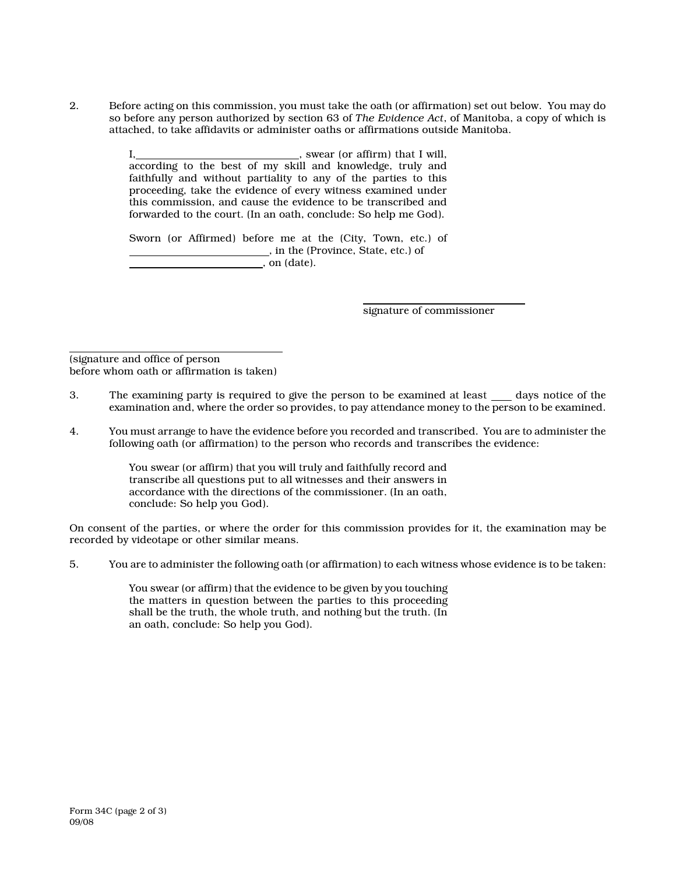2. Before acting on this commission, you must take the oath (or affirmation) set out below. You may do so before any person authorized by section 63 of The Evidence Act, of Manitoba, a copy of which is attached, to take affidavits or administer oaths or affirmations outside Manitoba.

> $I,$  , swear (or affirm) that I will, according to the best of my skill and knowledge, truly and faithfully and without partiality to any of the parties to this proceeding, take the evidence of every witness examined under this commission, and cause the evidence to be transcribed and forwarded to the court. (In an oath, conclude: So help me God).

> Sworn (or Affirmed) before me at the (City, Town, etc.) of , in the (Province, State, etc.) of , on (date).

> > ı signature of commissioner

 $\overline{a}$ (signature and office of person before whom oath or affirmation is taken)

- 3. The examining party is required to give the person to be examined at least days notice of the examination and, where the order so provides, to pay attendance money to the person to be examined.
- 4. You must arrange to have the evidence before you recorded and transcribed. You are to administer the following oath (or affirmation) to the person who records and transcribes the evidence:

You swear (or affirm) that you will truly and faithfully record and transcribe all questions put to all witnesses and their answers in accordance with the directions of the commissioner. (In an oath, conclude: So help you God).

On consent of the parties, or where the order for this commission provides for it, the examination may be recorded by videotape or other similar means.

5. You are to administer the following oath (or affirmation) to each witness whose evidence is to be taken:

You swear (or affirm) that the evidence to be given by you touching the matters in question between the parties to this proceeding shall be the truth, the whole truth, and nothing but the truth. (In an oath, conclude: So help you God).